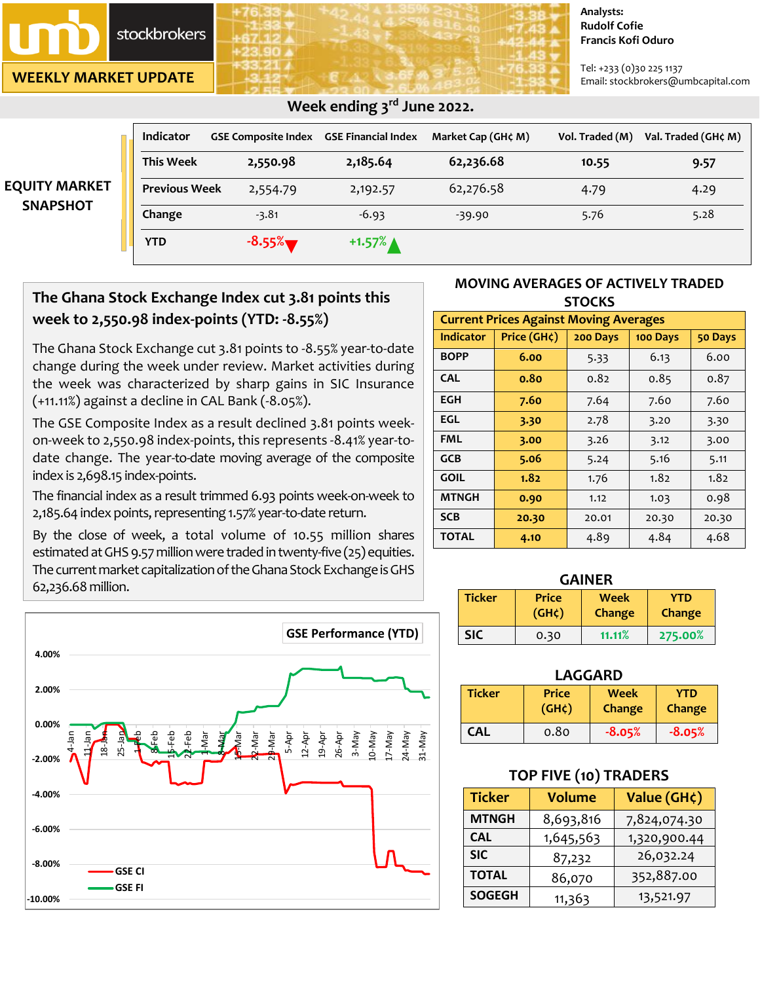# **stockbrokers**

**WEEKLY MARKET UPDATE**

**-10.00%**

**-8.00%**

**GSE CI GSE FI**

**-6.00%**

**-4.00%**

**-2.00%**

**0.00%**

**2.00%**

**4.00%**

#### **Analysts: Rudolf Cofie Francis Kofi Oduro**

Tel: +233 (0)30 225 1137 Email: stockbrokers@umbcapital.com

|                      | <b>Indicator</b>     | <b>GSE Composite Index</b> | <b>GSE Financial Index</b> | Market Cap (GH¢ M) | Vol. Traded (M) | Val. Traded (GH¢ M) |
|----------------------|----------------------|----------------------------|----------------------------|--------------------|-----------------|---------------------|
|                      | <b>This Week</b>     | 2,550.98                   | 2,185.64                   | 62,236.68          | 10.55           | 9.57                |
| <b>EQUITY MARKET</b> | <b>Previous Week</b> | 2,554.79                   | 2,192.57                   | 62,276.58          | 4.79            | 4.29                |
| <b>SNAPSHOT</b>      | Change               | $-3.81$                    | $-6.93$                    | $-39.90$           | 5.76            | 5.28                |
|                      | YTD                  | $-8.55%$                   | $+1.57\%$ $\triangle$      |                    |                 |                     |

## **Week ending 3 rd June 2022.**

# **The Ghana Stock Exchange Index cut 3.81 points this week to 2,550.98 index-points (YTD: -8.55%)**

The Ghana Stock Exchange cut 3.81 points to -8.55% year-to-date change during the week under review. Market activities during the week was characterized by sharp gains in SIC Insurance (+11.11%) against a decline in CAL Bank (-8.05%).

The GSE Composite Index as a result declined 3.81 points weekon-week to 2,550.98 index-points, this represents -8.41% year-todate change. The year-to-date moving average of the composite index is 2,698.15 index-points.

The financial index as a result trimmed 6.93 points week-on-week to 2,185.64 index points, representing 1.57% year-to-date return.

By the close of week, a total volume of 10.55 million shares estimated at GHS 9.57 million were traded in twenty-five (25) equities. The current market capitalization of the Ghana Stock Exchange is GHS 62,236.68 million.



### **MOVING AVERAGES OF ACTIVELY TRADED STOCKS**

| <b>Current Prices Against Moving Averages</b> |             |          |          |       |  |
|-----------------------------------------------|-------------|----------|----------|-------|--|
| <b>Indicator</b>                              | Price (GH¢) | 200 Days | 100 Days |       |  |
| <b>BOPP</b>                                   | 6.00        | 5.33     | 6.13     | 6.00  |  |
| <b>CAL</b>                                    | 0.80        | 0.82     | 0.85     | 0.87  |  |
| EGH                                           | 7.60        | 7.64     | 7.60     | 7.60  |  |
| EGL                                           | 3.30        | 2.78     | 3.20     | 3.30  |  |
| FML                                           | 3.00        | 3.26     | 3.12     | 3.00  |  |
| <b>GCB</b>                                    | 5.06        | 5.24     | 5.16     | 5.11  |  |
| <b>GOIL</b>                                   | 1.82        | 1.76     | 1.82     | 1.82  |  |
| <b>MTNGH</b>                                  | 0.90        | 1.12     | 1.03     | 0.98  |  |
| <b>SCB</b>                                    | 20.30       | 20.01    | 20.30    | 20.30 |  |
| <b>TOTAL</b>                                  | 4.10        | 4.89     | 4.84     | 4.68  |  |

#### **GAINER**

| <b>Ticker</b> | <b>Price</b> | <b>Week</b>   | YTD           |
|---------------|--------------|---------------|---------------|
|               | $(GH\zeta)$  | <b>Change</b> | <b>Change</b> |
| SIC           | 0.30         | 11.11%        | 275.00%       |

### **LAGGARD**

| <b>Ticker</b> | <b>Price</b> | <b>Week</b> | YTD           |
|---------------|--------------|-------------|---------------|
|               | $(GH\zeta)$  | Change      | <b>Change</b> |
| <b>CAL</b>    | 0.80         | $-8.05%$    | $-8.05%$      |

### **TOP FIVE (10) TRADERS**

| <b>Ticker</b>           | <b>Volume</b> | Value (GH¢)  |  |
|-------------------------|---------------|--------------|--|
| <b>MTNGH</b>            | 8,693,816     | 7,824,074.30 |  |
| 1,645,563<br><b>CAL</b> |               | 1,320,900.44 |  |
| <b>SIC</b>              | 87,232        | 26,032.24    |  |
| <b>TOTAL</b><br>86,070  |               | 352,887.00   |  |
| <b>SOGEGH</b>           | 11,363        | 13,521.97    |  |